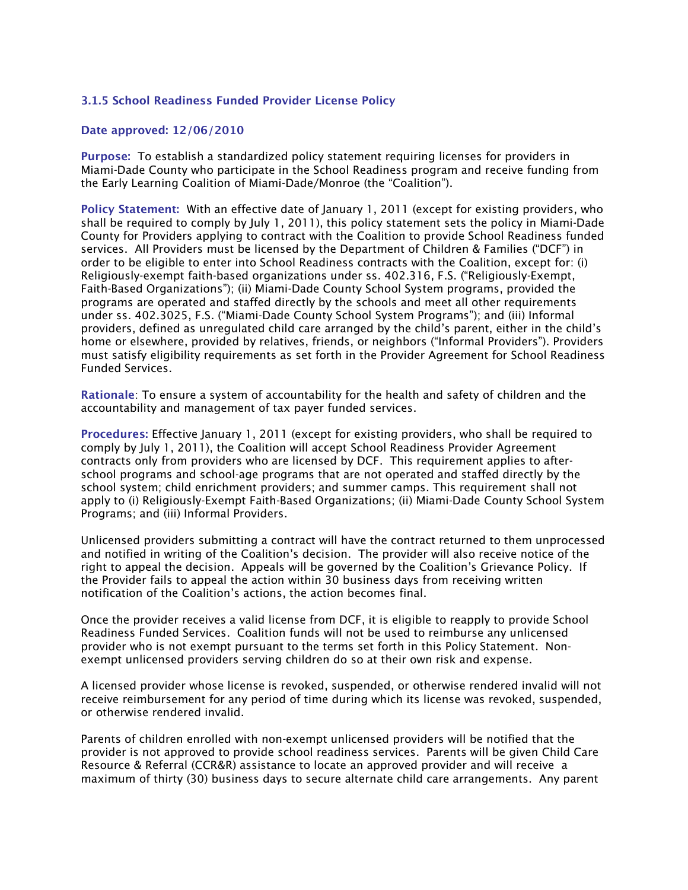## 3.1.5 School Readiness Funded Provider License Policy

## Date approved: 12/06/2010

Purpose: To establish a standardized policy statement requiring licenses for providers in Miami-Dade County who participate in the School Readiness program and receive funding from the Early Learning Coalition of Miami-Dade/Monroe (the "Coalition").

Policy Statement: With an effective date of January 1, 2011 (except for existing providers, who shall be required to comply by July 1, 2011), this policy statement sets the policy in Miami-Dade County for Providers applying to contract with the Coalition to provide School Readiness funded services. All Providers must be licensed by the Department of Children & Families ("DCF") in order to be eligible to enter into School Readiness contracts with the Coalition, except for: (i) Religiously-exempt faith-based organizations under ss. 402.316, F.S. ("Religiously-Exempt, Faith-Based Organizations"); (ii) Miami-Dade County School System programs, provided the programs are operated and staffed directly by the schools and meet all other requirements under ss. 402.3025, F.S. ("Miami-Dade County School System Programs"); and (iii) Informal providers, defined as unregulated child care arranged by the child's parent, either in the child's home or elsewhere, provided by relatives, friends, or neighbors ("Informal Providers"). Providers must satisfy eligibility requirements as set forth in the Provider Agreement for School Readiness Funded Services.

Rationale: To ensure a system of accountability for the health and safety of children and the accountability and management of tax payer funded services.

Procedures: Effective January 1, 2011 (except for existing providers, who shall be required to comply by July 1, 2011), the Coalition will accept School Readiness Provider Agreement contracts only from providers who are licensed by DCF. This requirement applies to afterschool programs and school-age programs that are not operated and staffed directly by the school system; child enrichment providers; and summer camps. This requirement shall not apply to (i) Religiously-Exempt Faith-Based Organizations; (ii) Miami-Dade County School System Programs; and (iii) Informal Providers.

Unlicensed providers submitting a contract will have the contract returned to them unprocessed and notified in writing of the Coalition's decision. The provider will also receive notice of the right to appeal the decision. Appeals will be governed by the Coalition's Grievance Policy. If the Provider fails to appeal the action within 30 business days from receiving written notification of the Coalition's actions, the action becomes final.

Once the provider receives a valid license from DCF, it is eligible to reapply to provide School Readiness Funded Services. Coalition funds will not be used to reimburse any unlicensed provider who is not exempt pursuant to the terms set forth in this Policy Statement. Nonexempt unlicensed providers serving children do so at their own risk and expense.

A licensed provider whose license is revoked, suspended, or otherwise rendered invalid will not receive reimbursement for any period of time during which its license was revoked, suspended, or otherwise rendered invalid.

Parents of children enrolled with non-exempt unlicensed providers will be notified that the provider is not approved to provide school readiness services. Parents will be given Child Care Resource & Referral (CCR&R) assistance to locate an approved provider and will receive a maximum of thirty (30) business days to secure alternate child care arrangements. Any parent